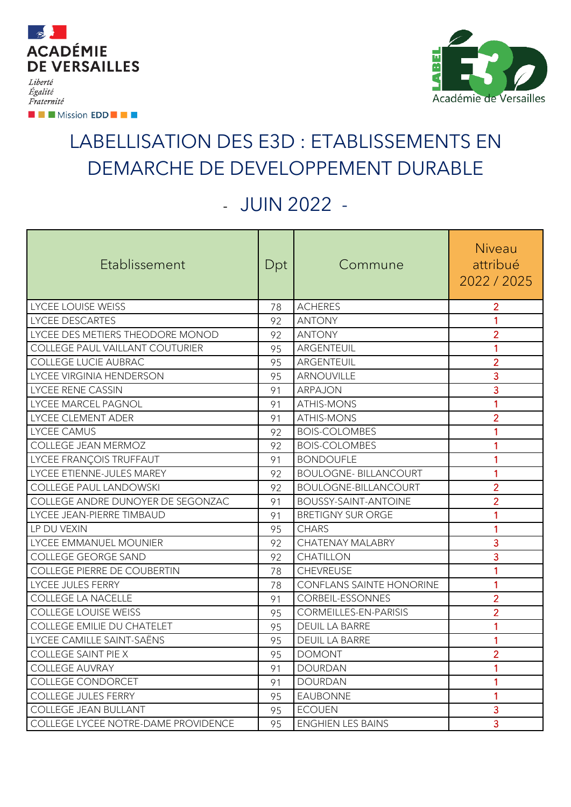

**EXAMPLE Mission EDD FOR THE** 



## LABELLISATION DES E3D : ETABLISSEMENTS EN DEMARCHE DE DEVELOPPEMENT DURABLE

## - JUIN 2022 -

| Etablissement                       | Dpt | Commune                         | Niveau<br>attribué<br>2022/2025 |
|-------------------------------------|-----|---------------------------------|---------------------------------|
| <b>LYCEE LOUISE WEISS</b>           | 78  | <b>ACHERES</b>                  | $\overline{2}$                  |
| <b>LYCEE DESCARTES</b>              | 92  | <b>ANTONY</b>                   | 1                               |
| LYCEE DES METIERS THEODORE MONOD    | 92  | <b>ANTONY</b>                   | $\overline{2}$                  |
| COLLEGE PAUL VAILLANT COUTURIER     | 95  | ARGENTEUIL                      | 1                               |
| COLLEGE LUCIE AUBRAC                | 95  | ARGENTEUIL                      | $\overline{2}$                  |
| LYCEE VIRGINIA HENDERSON            | 95  | <b>ARNOUVILLE</b>               | 3                               |
| LYCEE RENE CASSIN                   | 91  | ARPAJON                         | 3                               |
| LYCEE MARCEL PAGNOL                 | 91  | <b>ATHIS-MONS</b>               | 1                               |
| LYCEE CLEMENT ADER                  | 91  | <b>ATHIS-MONS</b>               | $\overline{2}$                  |
| <b>LYCEE CAMUS</b>                  | 92  | <b>BOIS-COLOMBES</b>            | 1                               |
| COLLEGE JEAN MERMOZ                 | 92  | <b>BOIS-COLOMBES</b>            | 1                               |
| LYCEE FRANÇOIS TRUFFAUT             | 91  | <b>BONDOUFLE</b>                | 1                               |
| LYCEE ETIENNE-JULES MAREY           | 92  | <b>BOULOGNE- BILLANCOURT</b>    | 1                               |
| <b>COLLEGE PAUL LANDOWSKI</b>       | 92  | <b>BOULOGNE-BILLANCOURT</b>     | $\overline{2}$                  |
| COLLEGE ANDRE DUNOYER DE SEGONZAC   | 91  | <b>BOUSSY-SAINT-ANTOINE</b>     | $\overline{2}$                  |
| LYCEE JEAN-PIERRE TIMBAUD           | 91  | <b>BRETIGNY SUR ORGE</b>        | 1                               |
| LP DU VEXIN                         | 95  | <b>CHARS</b>                    | 1                               |
| LYCEE EMMANUEL MOUNIER              | 92  | CHATENAY MALABRY                | 3                               |
| COLLEGE GEORGE SAND                 | 92  | <b>CHATILLON</b>                | 3                               |
| COLLEGE PIERRE DE COUBERTIN         | 78  | <b>CHEVREUSE</b>                | 1                               |
| LYCEE JULES FERRY                   | 78  | <b>CONFLANS SAINTE HONORINE</b> | 1                               |
| <b>COLLEGE LA NACELLE</b>           | 91  | CORBEIL-ESSONNES                | $\overline{2}$                  |
| <b>COLLEGE LOUISE WEISS</b>         | 95  | CORMEILLES-EN-PARISIS           | $\overline{2}$                  |
| <b>COLLEGE EMILIE DU CHATELET</b>   | 95  | <b>DEUIL LA BARRE</b>           | 1                               |
| LYCEE CAMILLE SAINT-SAËNS           | 95  | <b>DEUIL LA BARRE</b>           | 1                               |
| <b>COLLEGE SAINT PIE X</b>          | 95  | <b>DOMONT</b>                   | $\overline{2}$                  |
| <b>COLLEGE AUVRAY</b>               | 91  | <b>DOURDAN</b>                  | 1                               |
| COLLEGE CONDORCET                   | 91  | <b>DOURDAN</b>                  | 1                               |
| <b>COLLEGE JULES FERRY</b>          | 95  | <b>EAUBONNE</b>                 | 1                               |
| <b>COLLEGE JEAN BULLANT</b>         | 95  | <b>ECOUEN</b>                   | 3                               |
| COLLEGE LYCEE NOTRE-DAME PROVIDENCE | 95  | <b>ENGHIEN LES BAINS</b>        | $\overline{3}$                  |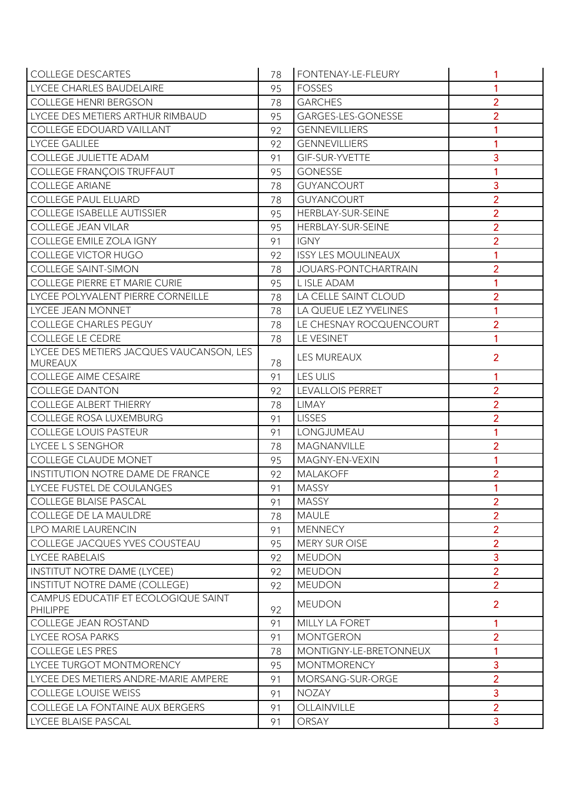| <b>COLLEGE DESCARTES</b>                        | 78 | FONTENAY-LE-FLEURY          | 1              |
|-------------------------------------------------|----|-----------------------------|----------------|
| LYCEE CHARLES BAUDELAIRE                        | 95 | <b>FOSSES</b>               | 1              |
| <b>COLLEGE HENRI BERGSON</b>                    | 78 | <b>GARCHES</b>              | $\overline{2}$ |
| LYCEE DES METIERS ARTHUR RIMBAUD                | 95 | GARGES-LES-GONESSE          | $\overline{2}$ |
| COLLEGE EDOUARD VAILLANT                        | 92 | <b>GENNEVILLIERS</b>        |                |
| LYCEE GALILEE                                   | 92 | <b>GENNEVILLIERS</b>        | 1              |
| COLLEGE JULIETTE ADAM                           | 91 | GIF-SUR-YVETTE              | 3              |
| COLLEGE FRANÇOIS TRUFFAUT                       | 95 | <b>GONESSE</b>              | 1              |
| <b>COLLEGE ARIANE</b>                           | 78 | GUYANCOURT                  | 3              |
| <b>COLLEGE PAUL ELUARD</b>                      | 78 | <b>GUYANCOURT</b>           | $\overline{2}$ |
| <b>COLLEGE ISABELLE AUTISSIER</b>               | 95 | HERBLAY-SUR-SEINE           | $\overline{2}$ |
| <b>COLLEGE JEAN VILAR</b>                       | 95 | HERBLAY-SUR-SEINE           | $\overline{2}$ |
| COLLEGE EMILE ZOLA IGNY                         | 91 | IGNY                        | $\overline{2}$ |
| COLLEGE VICTOR HUGO                             | 92 | <b>ISSY LES MOULINEAUX</b>  | 1              |
| <b>COLLEGE SAINT-SIMON</b>                      | 78 | <b>JOUARS-PONTCHARTRAIN</b> | $\overline{2}$ |
| COLLEGE PIERRE ET MARIE CURIE                   | 95 | L ISLE ADAM                 | 1              |
| LYCEE POLYVALENT PIERRE CORNEILLE               | 78 | LA CELLE SAINT CLOUD        | $\overline{2}$ |
| LYCEE JEAN MONNET                               | 78 | LA QUEUE LEZ YVELINES       | 1              |
| <b>COLLEGE CHARLES PEGUY</b>                    | 78 | LE CHESNAY ROCQUENCOURT     | $\overline{2}$ |
| <b>COLLEGE LE CEDRE</b>                         | 78 | LE VESINET                  | 1              |
| LYCEE DES METIERS JACQUES VAUCANSON, LES        |    | LES MUREAUX                 | $\overline{2}$ |
| <b>MUREAUX</b>                                  | 78 |                             |                |
| <b>COLLEGE AIME CESAIRE</b>                     | 91 | LES ULIS                    | 1              |
| <b>COLLEGE DANTON</b>                           | 92 | <b>LEVALLOIS PERRET</b>     | $\overline{2}$ |
| <b>COLLEGE ALBERT THIERRY</b>                   | 78 | <b>LIMAY</b>                | $\overline{2}$ |
| <b>COLLEGE ROSA LUXEMBURG</b>                   | 91 | <b>LISSES</b>               | $\overline{2}$ |
| <b>COLLEGE LOUIS PASTEUR</b>                    | 91 | LONGJUMEAU                  | 1              |
| LYCEE L S SENGHOR                               | 78 | MAGNANVILLE                 | $\overline{2}$ |
| <b>COLLEGE CLAUDE MONET</b>                     | 95 | MAGNY-EN-VEXIN              | 1              |
| INSTITUTION NOTRE DAME DE FRANCE                | 92 | <b>MALAKOFF</b>             | $\overline{2}$ |
| LYCEE FUSTEL DE COULANGES                       | 91 | <b>MASSY</b>                | 1              |
| <b>COLLEGE BLAISE PASCAL</b>                    | 91 | <b>MASSY</b>                | $\overline{2}$ |
| COLLEGE DE LA MAULDRE                           | 78 | <b>MAULE</b>                | $\overline{2}$ |
| LPO MARIE LAURENCIN                             | 91 | <b>MENNECY</b>              | $\overline{2}$ |
| COLLEGE JACQUES YVES COUSTEAU                   | 95 | MERY SUR OISE               | $\overline{2}$ |
| <b>LYCEE RABELAIS</b>                           | 92 | <b>MEUDON</b>               | 3              |
| <b>INSTITUT NOTRE DAME (LYCEE)</b>              | 92 | <b>MEUDON</b>               | $\overline{2}$ |
| INSTITUT NOTRE DAME (COLLEGE)                   | 92 | <b>MEUDON</b>               | $\overline{2}$ |
| CAMPUS EDUCATIF ET ECOLOGIQUE SAINT<br>PHILIPPE | 92 | <b>MEUDON</b>               | $\overline{2}$ |
| COLLEGE JEAN ROSTAND                            | 91 | MILLY LA FORET              | 1              |
| <b>LYCEE ROSA PARKS</b>                         | 91 | <b>MONTGERON</b>            | $\overline{2}$ |
| <b>COLLEGE LES PRES</b>                         | 78 | MONTIGNY-LE-BRETONNEUX      | 1              |
| LYCEE TURGOT MONTMORENCY                        | 95 | <b>MONTMORENCY</b>          | 3              |
| LYCEE DES METIERS ANDRE-MARIE AMPERE            | 91 | MORSANG-SUR-ORGE            | $\overline{2}$ |
| <b>COLLEGE LOUISE WEISS</b>                     | 91 | <b>NOZAY</b>                | 3              |
| COLLEGE LA FONTAINE AUX BERGERS                 | 91 | <b>OLLAINVILLE</b>          | $\overline{2}$ |
| LYCEE BLAISE PASCAL                             | 91 | ORSAY                       | 3              |
|                                                 |    |                             |                |